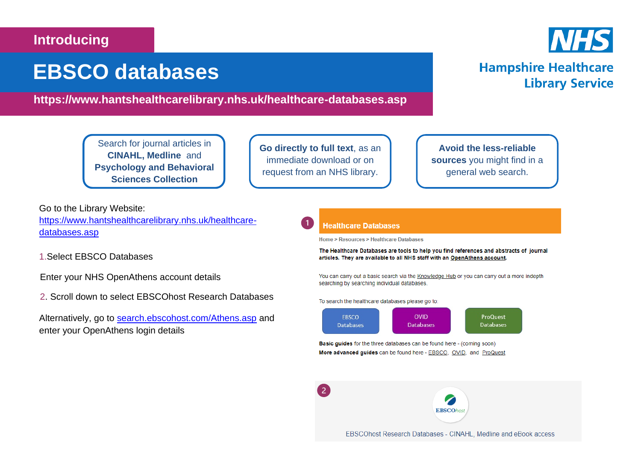## **Introducing**

# **EBSCO databases**

## **https://www.hantshealthcarelibrary.nhs.uk/healthcare-databases.asp**

Search for journal articles in **CINAHL, Medline** and **Psychology and Behavioral Sciences Collection**

**Go directly to full text**, as an immediate download or on request from an NHS library.

 $\sqrt{2}$ 

**Avoid the less-reliable sources** you might find in a general web search.

Go to the Library Website: [https://www.hantshealthcarelibrary.nhs.uk/healthcare](https://www.hantshealthcarelibrary.nhs.uk/healthcare-databases.asp)[databases.asp](https://www.hantshealthcarelibrary.nhs.uk/healthcare-databases.asp)

1.Select EBSCO Databases

Enter your NHS OpenAthens account details

2. Scroll down to select EBSCOhost Research Databases

Alternatively, go to [search.ebscohost.com/Athens.asp](file:///C:/Users/burgesss1/AppData/Local/Microsoft/Windows/INetCache/Content.Outlook/38PJWNRA/search.ebscohost.com/Athens.asp) and enter your OpenAthens login details

#### **Healthcare Databases**

Home > Resources > Healthcare Databases

The Healthcare Databases are tools to help you find references and abstracts of journal articles. They are available to all NHS staff with an OpenAthens account.

You can carry out a basic search via the Knowledge Hub or you can carry out a more indepth searching by searching individual databases.

To search the healthcare databases please go to:



Basic guides for the three databases can be found here - (coming soon) More advanced guides can be found here - EBSCO, OVID, and ProQuest

**EBSCOhost** 

EBSCOhost Research Databases - CINAHL, Medline and eBook access



**Library Service** 

**Hampshire Healthcare**